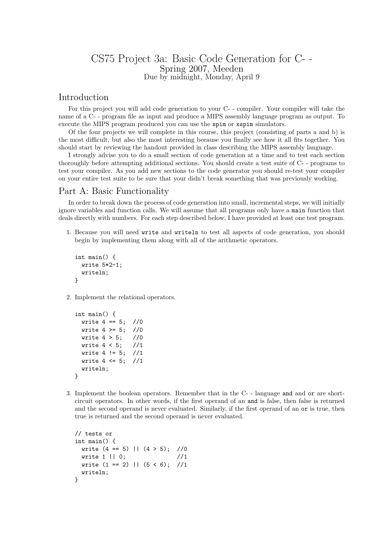## CS75 Project 3a: Basic Code Generation for C- - Spring 2007, Meeden Due by midnight, Monday, April 9

## Introduction

For this project you will add code generation to your C- - compiler. Your compiler will take the name of a C- - program file as input and produce a MIPS assembly language program as output. To execute the MIPS program produced you can use the spim or xspim simulators.

Of the four projects we will complete in this course, this project (consisting of parts a and b) is the most difficult, but also the most interesting because you finally see how it all fits together. You should start by reviewing the handout provided in class describing the MIPS assembly language.

I strongly advise you to do a small section of code generation at a time and to test each section thoroughly before attempting additional sections. You should create a test suite of C- - programs to test your compiler. As you add new sections to the code generator you should re-test your compiler on your entire test suite to be sure that your didn't break something that was previously working.

## Part A: Basic Functionality

In order to break down the process of code generation into small, incremental steps, we will initially ignore variables and function calls. We will assume that all programs only have a main function that deals directly with numbers. For each step described below, I have provided at least one test program.

1. Because you will need write and writeln to test all aspects of code generation, you should begin by implementing them along with all of the arithmetic operators.

```
int main() {
 write 5*2-1;
  writeln;
}
```
2. Implement the relational operators.

```
int main() {
 write 4 == 5; //0
 write 4 > = 5; //0
 write 4 > 5; //0
 write 4 < 5; //1
 write 4 != 5; //1write 4 \le 5; //1
 writeln;
}
```
3. Implement the boolean operators. Remember that in the C- - language and and or are shortcircuit operators. In other words, if the first operand of an and is false, then false is returned and the second operand is never evaluated. Similarly, if the first operand of an or is true, then true is returned and the second operand is never evaluated.

```
// tests or
int main() {
 write (4 == 5) || (4 > 5); //0
 write 1 || 0; //1
 write (1 == 2) || (5 < 6); //1writeln;
}
```